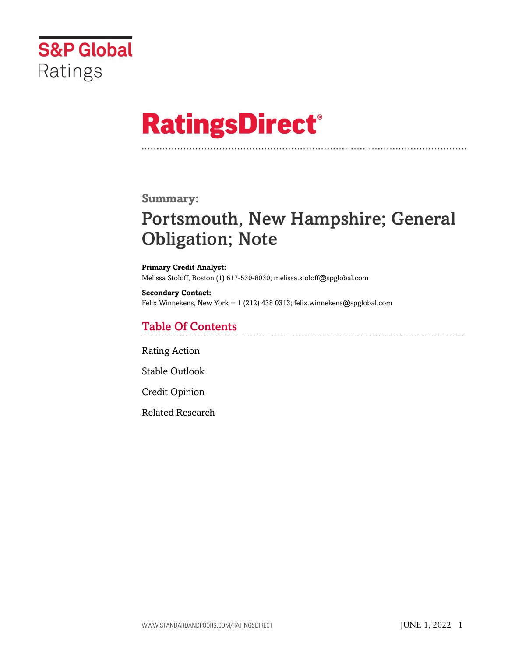

# **RatingsDirect®**

#### **Summary:**

# Portsmouth, New Hampshire; General Obligation; Note

**Primary Credit Analyst:** Melissa Stoloff, Boston (1) 617-530-8030; melissa.stoloff@spglobal.com

**Secondary Contact:** Felix Winnekens, New York + 1 (212) 438 0313; felix.winnekens@spglobal.com

# Table Of Contents

[Rating Action](#page-1-0)

[Stable Outlook](#page-2-0)

[Credit Opinion](#page-2-1)

[Related Research](#page-5-0)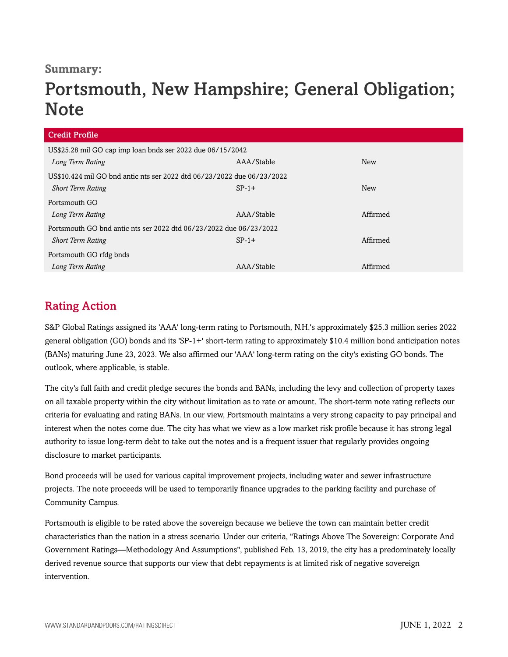### **Summary:**

# Portsmouth, New Hampshire; General Obligation; **Note**

| <b>Credit Profile</b>                                                  |            |            |  |  |
|------------------------------------------------------------------------|------------|------------|--|--|
| US\$25.28 mil GO cap imp loan bnds ser 2022 due 06/15/2042             |            |            |  |  |
| Long Term Rating                                                       | AAA/Stable | New        |  |  |
| US\$10.424 mil GO bnd antic nts ser 2022 dtd 06/23/2022 due 06/23/2022 |            |            |  |  |
| <b>Short Term Rating</b>                                               | $SP-1+$    | <b>New</b> |  |  |
| Portsmouth GO                                                          |            |            |  |  |
| Long Term Rating                                                       | AAA/Stable | Affirmed   |  |  |
| Portsmouth GO bnd antic nts ser 2022 dtd 06/23/2022 due 06/23/2022     |            |            |  |  |
| <b>Short Term Rating</b>                                               | $SP-1+$    | Affirmed   |  |  |
| Portsmouth GO rfdg bnds                                                |            |            |  |  |
| Long Term Rating                                                       | AAA/Stable | Affirmed   |  |  |

# <span id="page-1-0"></span>Rating Action

S&P Global Ratings assigned its 'AAA' long-term rating to Portsmouth, N.H.'s approximately \$25.3 million series 2022 general obligation (GO) bonds and its 'SP-1+' short-term rating to approximately \$10.4 million bond anticipation notes (BANs) maturing June 23, 2023. We also affirmed our 'AAA' long-term rating on the city's existing GO bonds. The outlook, where applicable, is stable.

The city's full faith and credit pledge secures the bonds and BANs, including the levy and collection of property taxes on all taxable property within the city without limitation as to rate or amount. The short-term note rating reflects our criteria for evaluating and rating BANs. In our view, Portsmouth maintains a very strong capacity to pay principal and interest when the notes come due. The city has what we view as a low market risk profile because it has strong legal authority to issue long-term debt to take out the notes and is a frequent issuer that regularly provides ongoing disclosure to market participants.

Bond proceeds will be used for various capital improvement projects, including water and sewer infrastructure projects. The note proceeds will be used to temporarily finance upgrades to the parking facility and purchase of Community Campus.

Portsmouth is eligible to be rated above the sovereign because we believe the town can maintain better credit characteristics than the nation in a stress scenario. Under our criteria, "Ratings Above The Sovereign: Corporate And Government Ratings—Methodology And Assumptions", published Feb. 13, 2019, the city has a predominately locally derived revenue source that supports our view that debt repayments is at limited risk of negative sovereign intervention.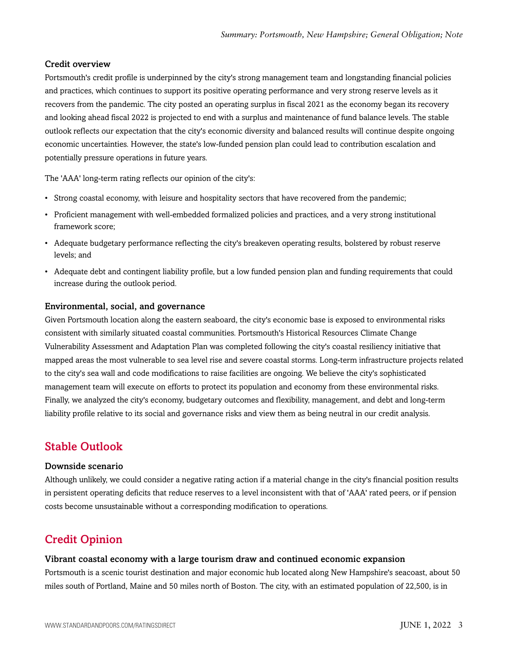#### Credit overview

Portsmouth's credit profile is underpinned by the city's strong management team and longstanding financial policies and practices, which continues to support its positive operating performance and very strong reserve levels as it recovers from the pandemic. The city posted an operating surplus in fiscal 2021 as the economy began its recovery and looking ahead fiscal 2022 is projected to end with a surplus and maintenance of fund balance levels. The stable outlook reflects our expectation that the city's economic diversity and balanced results will continue despite ongoing economic uncertainties. However, the state's low-funded pension plan could lead to contribution escalation and potentially pressure operations in future years.

The 'AAA' long-term rating reflects our opinion of the city's:

- Strong coastal economy, with leisure and hospitality sectors that have recovered from the pandemic;
- Proficient management with well-embedded formalized policies and practices, and a very strong institutional framework score;
- Adequate budgetary performance reflecting the city's breakeven operating results, bolstered by robust reserve levels; and
- Adequate debt and contingent liability profile, but a low funded pension plan and funding requirements that could increase during the outlook period.

#### Environmental, social, and governance

Given Portsmouth location along the eastern seaboard, the city's economic base is exposed to environmental risks consistent with similarly situated coastal communities. Portsmouth's Historical Resources Climate Change Vulnerability Assessment and Adaptation Plan was completed following the city's coastal resiliency initiative that mapped areas the most vulnerable to sea level rise and severe coastal storms. Long-term infrastructure projects related to the city's sea wall and code modifications to raise facilities are ongoing. We believe the city's sophisticated management team will execute on efforts to protect its population and economy from these environmental risks. Finally, we analyzed the city's economy, budgetary outcomes and flexibility, management, and debt and long-term liability profile relative to its social and governance risks and view them as being neutral in our credit analysis.

### <span id="page-2-0"></span>Stable Outlook

#### Downside scenario

Although unlikely, we could consider a negative rating action if a material change in the city's financial position results in persistent operating deficits that reduce reserves to a level inconsistent with that of 'AAA' rated peers, or if pension costs become unsustainable without a corresponding modification to operations.

# <span id="page-2-1"></span>Credit Opinion

#### Vibrant coastal economy with a large tourism draw and continued economic expansion

Portsmouth is a scenic tourist destination and major economic hub located along New Hampshire's seacoast, about 50 miles south of Portland, Maine and 50 miles north of Boston. The city, with an estimated population of 22,500, is in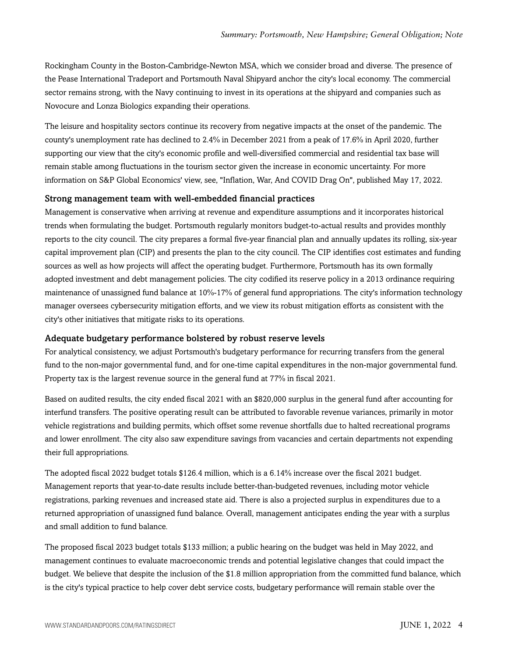Rockingham County in the Boston-Cambridge-Newton MSA, which we consider broad and diverse. The presence of the Pease International Tradeport and Portsmouth Naval Shipyard anchor the city's local economy. The commercial sector remains strong, with the Navy continuing to invest in its operations at the shipyard and companies such as Novocure and Lonza Biologics expanding their operations.

The leisure and hospitality sectors continue its recovery from negative impacts at the onset of the pandemic. The county's unemployment rate has declined to 2.4% in December 2021 from a peak of 17.6% in April 2020, further supporting our view that the city's economic profile and well-diversified commercial and residential tax base will remain stable among fluctuations in the tourism sector given the increase in economic uncertainty. For more information on S&P Global Economics' view, see, "Inflation, War, And COVID Drag On", published May 17, 2022.

#### Strong management team with well-embedded financial practices

Management is conservative when arriving at revenue and expenditure assumptions and it incorporates historical trends when formulating the budget. Portsmouth regularly monitors budget-to-actual results and provides monthly reports to the city council. The city prepares a formal five-year financial plan and annually updates its rolling, six-year capital improvement plan (CIP) and presents the plan to the city council. The CIP identifies cost estimates and funding sources as well as how projects will affect the operating budget. Furthermore, Portsmouth has its own formally adopted investment and debt management policies. The city codified its reserve policy in a 2013 ordinance requiring maintenance of unassigned fund balance at 10%-17% of general fund appropriations. The city's information technology manager oversees cybersecurity mitigation efforts, and we view its robust mitigation efforts as consistent with the city's other initiatives that mitigate risks to its operations.

#### Adequate budgetary performance bolstered by robust reserve levels

For analytical consistency, we adjust Portsmouth's budgetary performance for recurring transfers from the general fund to the non-major governmental fund, and for one-time capital expenditures in the non-major governmental fund. Property tax is the largest revenue source in the general fund at 77% in fiscal 2021.

Based on audited results, the city ended fiscal 2021 with an \$820,000 surplus in the general fund after accounting for interfund transfers. The positive operating result can be attributed to favorable revenue variances, primarily in motor vehicle registrations and building permits, which offset some revenue shortfalls due to halted recreational programs and lower enrollment. The city also saw expenditure savings from vacancies and certain departments not expending their full appropriations.

The adopted fiscal 2022 budget totals \$126.4 million, which is a 6.14% increase over the fiscal 2021 budget. Management reports that year-to-date results include better-than-budgeted revenues, including motor vehicle registrations, parking revenues and increased state aid. There is also a projected surplus in expenditures due to a returned appropriation of unassigned fund balance. Overall, management anticipates ending the year with a surplus and small addition to fund balance.

The proposed fiscal 2023 budget totals \$133 million; a public hearing on the budget was held in May 2022, and management continues to evaluate macroeconomic trends and potential legislative changes that could impact the budget. We believe that despite the inclusion of the \$1.8 million appropriation from the committed fund balance, which is the city's typical practice to help cover debt service costs, budgetary performance will remain stable over the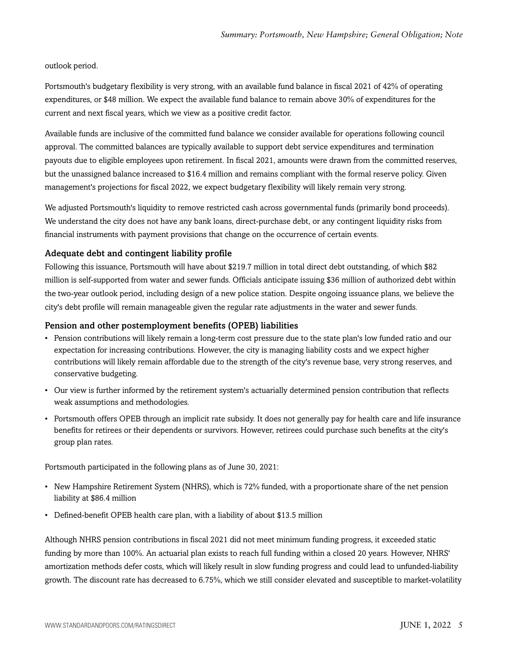outlook period.

Portsmouth's budgetary flexibility is very strong, with an available fund balance in fiscal 2021 of 42% of operating expenditures, or \$48 million. We expect the available fund balance to remain above 30% of expenditures for the current and next fiscal years, which we view as a positive credit factor.

Available funds are inclusive of the committed fund balance we consider available for operations following council approval. The committed balances are typically available to support debt service expenditures and termination payouts due to eligible employees upon retirement. In fiscal 2021, amounts were drawn from the committed reserves, but the unassigned balance increased to \$16.4 million and remains compliant with the formal reserve policy. Given management's projections for fiscal 2022, we expect budgetary flexibility will likely remain very strong.

We adjusted Portsmouth's liquidity to remove restricted cash across governmental funds (primarily bond proceeds). We understand the city does not have any bank loans, direct-purchase debt, or any contingent liquidity risks from financial instruments with payment provisions that change on the occurrence of certain events.

#### Adequate debt and contingent liability profile

Following this issuance, Portsmouth will have about \$219.7 million in total direct debt outstanding, of which \$82 million is self-supported from water and sewer funds. Officials anticipate issuing \$36 million of authorized debt within the two-year outlook period, including design of a new police station. Despite ongoing issuance plans, we believe the city's debt profile will remain manageable given the regular rate adjustments in the water and sewer funds.

#### Pension and other postemployment benefits (OPEB) liabilities

- Pension contributions will likely remain a long-term cost pressure due to the state plan's low funded ratio and our expectation for increasing contributions. However, the city is managing liability costs and we expect higher contributions will likely remain affordable due to the strength of the city's revenue base, very strong reserves, and conservative budgeting.
- Our view is further informed by the retirement system's actuarially determined pension contribution that reflects weak assumptions and methodologies.
- Portsmouth offers OPEB through an implicit rate subsidy. It does not generally pay for health care and life insurance benefits for retirees or their dependents or survivors. However, retirees could purchase such benefits at the city's group plan rates.

Portsmouth participated in the following plans as of June 30, 2021:

- New Hampshire Retirement System (NHRS), which is 72% funded, with a proportionate share of the net pension liability at \$86.4 million
- Defined-benefit OPEB health care plan, with a liability of about \$13.5 million

Although NHRS pension contributions in fiscal 2021 did not meet minimum funding progress, it exceeded static funding by more than 100%. An actuarial plan exists to reach full funding within a closed 20 years. However, NHRS' amortization methods defer costs, which will likely result in slow funding progress and could lead to unfunded-liability growth. The discount rate has decreased to 6.75%, which we still consider elevated and susceptible to market-volatility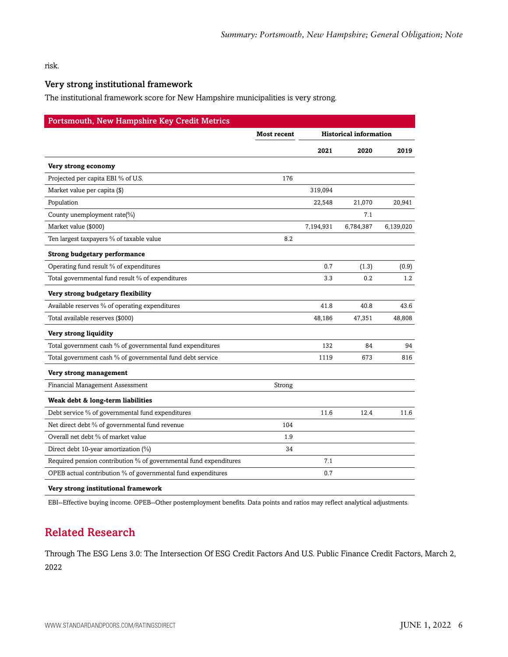risk.

#### Very strong institutional framework

The institutional framework score for New Hampshire municipalities is very strong.

| <b>Portsmouth, New Hampshire Key Credit Metrics</b>               |                    |           |                               |           |  |
|-------------------------------------------------------------------|--------------------|-----------|-------------------------------|-----------|--|
|                                                                   | <b>Most recent</b> |           | <b>Historical information</b> |           |  |
|                                                                   |                    | 2021      | 2020                          | 2019      |  |
| Very strong economy                                               |                    |           |                               |           |  |
| Projected per capita EBI % of U.S.                                | 176                |           |                               |           |  |
| Market value per capita (\$)                                      |                    | 319,094   |                               |           |  |
| Population                                                        |                    | 22,548    | 21,070                        | 20,941    |  |
| County unemployment rate(%)                                       |                    |           | 7.1                           |           |  |
| Market value (\$000)                                              |                    | 7,194,931 | 6,784,387                     | 6,139,020 |  |
| Ten largest taxpayers % of taxable value                          | 8.2                |           |                               |           |  |
| <b>Strong budgetary performance</b>                               |                    |           |                               |           |  |
| Operating fund result % of expenditures                           |                    | 0.7       | (1.3)                         | (0.9)     |  |
| Total governmental fund result % of expenditures                  |                    | 3.3       | 0.2                           | 1.2       |  |
| Very strong budgetary flexibility                                 |                    |           |                               |           |  |
| Available reserves % of operating expenditures                    |                    | 41.8      | 40.8                          | 43.6      |  |
| Total available reserves (\$000)                                  |                    | 48,186    | 47,351                        | 48,808    |  |
| Very strong liquidity                                             |                    |           |                               |           |  |
| Total government cash % of governmental fund expenditures         |                    | 132       | 84                            | 94        |  |
| Total government cash % of governmental fund debt service         |                    | 1119      | 673                           | 816       |  |
| Very strong management                                            |                    |           |                               |           |  |
| Financial Management Assessment                                   | Strong             |           |                               |           |  |
| Weak debt & long-term liabilities                                 |                    |           |                               |           |  |
| Debt service % of governmental fund expenditures                  |                    | 11.6      | 12.4                          | 11.6      |  |
| Net direct debt % of governmental fund revenue                    | 104                |           |                               |           |  |
| Overall net debt % of market value                                | 1.9                |           |                               |           |  |
| Direct debt 10-year amortization (%)                              | 34                 |           |                               |           |  |
| Required pension contribution % of governmental fund expenditures |                    | 7.1       |                               |           |  |
| OPEB actual contribution % of governmental fund expenditures      |                    | 0.7       |                               |           |  |
|                                                                   |                    |           |                               |           |  |

**Very strong institutional framework**

<span id="page-5-0"></span>EBI--Effective buying income. OPEB--Other postemployment benefits. Data points and ratios may reflect analytical adjustments.

# Related Research

Through The ESG Lens 3.0: The Intersection Of ESG Credit Factors And U.S. Public Finance Credit Factors, March 2, 2022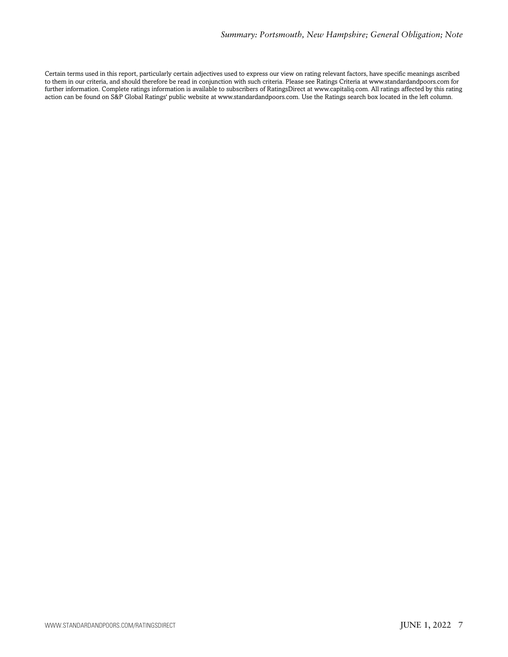Certain terms used in this report, particularly certain adjectives used to express our view on rating relevant factors, have specific meanings ascribed to them in our criteria, and should therefore be read in conjunction with such criteria. Please see Ratings Criteria at www.standardandpoors.com for further information. Complete ratings information is available to subscribers of RatingsDirect at www.capitaliq.com. All ratings affected by this rating action can be found on S&P Global Ratings' public website at www.standardandpoors.com. Use the Ratings search box located in the left column.